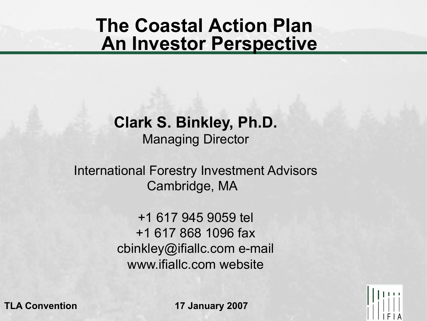### **The Coastal Action Plan An Investor Perspective**

#### **Clark S. Binkley, Ph.D.** Managing Director

#### International Forestry Investment Advisors Cambridge, MA

+1 617 945 9059 tel +1 617 868 1096 fax cbinkley@ifiallc.com e-mail www.ifiallc.com website

**TLA Convention 17 January 2007** 

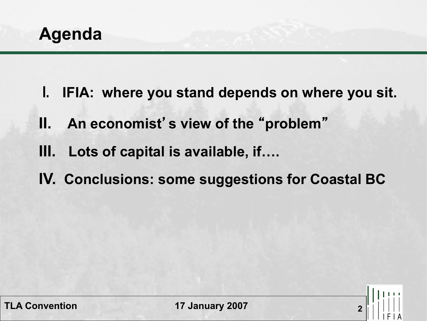**Agenda** 

- **I. IFIA: where you stand depends on where you sit.**
- **II. An economist**'**s view of the** "**problem**"
- **III. Lots of capital is available, if….**
- **IV. Conclusions: some suggestions for Coastal BC**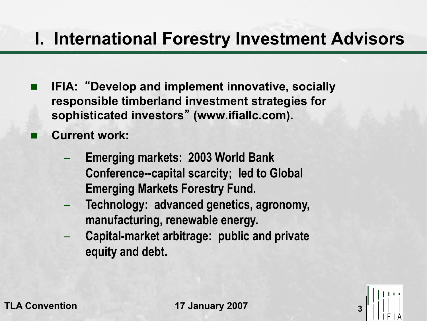#### **I. International Forestry Investment Advisors**

- n **IFIA:** "**Develop and implement innovative, socially responsible timberland investment strategies for sophisticated investors**" **(www.ifiallc.com).**
- **Current work:** 
	- **Emerging markets: 2003 World Bank Conference--capital scarcity; led to Global Emerging Markets Forestry Fund.**
	- **Technology: advanced genetics, agronomy, manufacturing, renewable energy.**
	- **Capital-market arbitrage: public and private equity and debt.**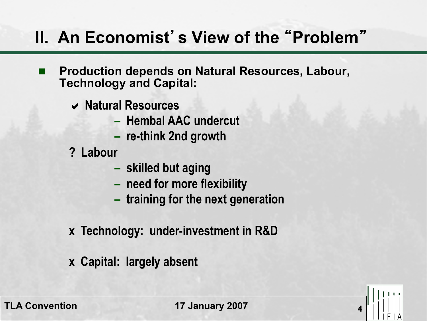# **II. An Economist**'**s View of the** "**Problem**"

- n **Production depends on Natural Resources, Labour, Technology and Capital:** 
	- **Natural Resources** 
		- **Hembal AAC undercut**
		- **re-think 2nd growth**
	- **? Labour** 
		- **skilled but aging**
		- **– need for more flexibility**
		- **– training for the next generation**
	- **x Technology: under-investment in R&D**
	- **x Capital: largely absent**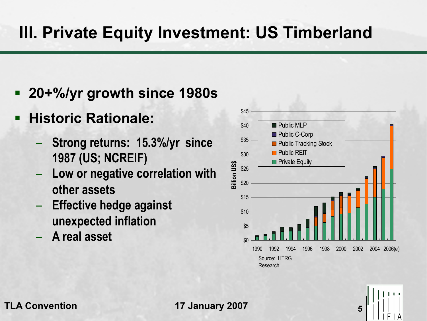## **III. Private Equity Investment: US Timberland**

- § **20+%/yr growth since 1980s**
- § **Historic Rationale:** 
	- **Strong returns: 15.3%/yr since 1987 (US; NCREIF)**
	- **Low or negative correlation with other assets**
	- **Effective hedge against unexpected inflation**
	- **A real asset** \$0

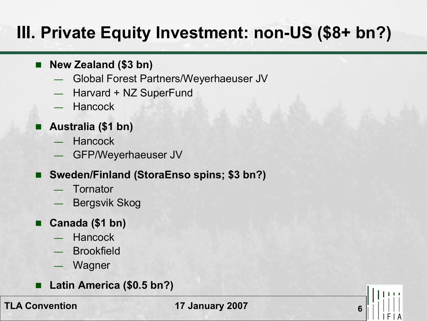# **III. Private Equity Investment: non-US (\$8+ bn?)**

- **New Zealand (\$3 bn)** 
	- Global Forest Partners/Weyerhaeuser JV
	- Harvard + NZ SuperFund
	- **Hancock**
- Australia (\$1 bn)
	- **Hancock**
	- GFP/Weyerhaeuser JV
- Sweden/Finland (StoraEnso spins; \$3 bn?)
	- **Tornator**
	- Bergsvik Skog
- Canada (\$1 bn)
	- **Hancock**
	- **Brookfield**
	- Wagner
	- Latin America (\$0.5 bn?)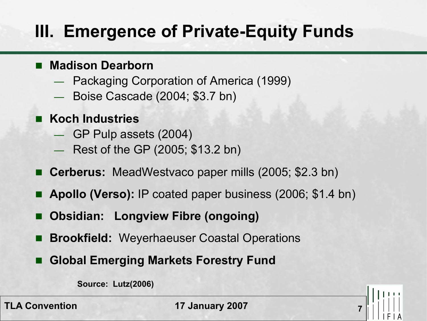# **III. Emergence of Private-Equity Funds**

#### n **Madison Dearborn**

- Packaging Corporation of America (1999)
- Boise Cascade (2004; \$3.7 bn)
- n **Koch Industries** 
	- GP Pulp assets (2004)
	- Rest of the GP (2005; \$13.2 bn)
- Cerberus: MeadWestvaco paper mills (2005; \$2.3 bn)
- Apollo (Verso): IP coated paper business (2006; \$1.4 bn)
- **Obsidian: Longview Fibre (ongoing)**
- **E** Brookfield: Weyerhaeuser Coastal Operations
- **Global Emerging Markets Forestry Fund**

**Source: Lutz(2006)**